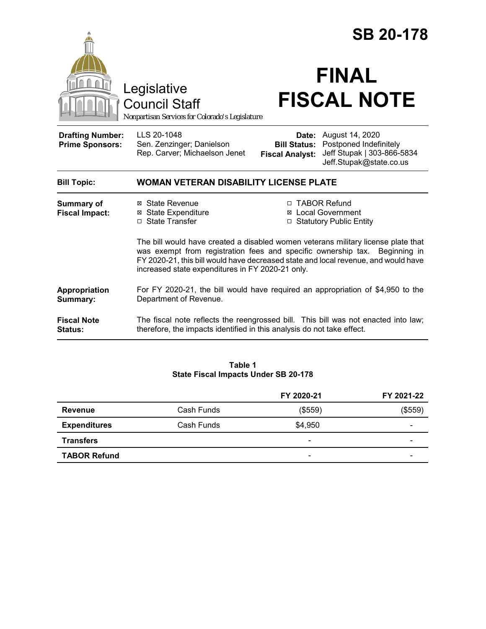|                                                   |                                                                                                                                                                                                                                                                                                           |                                               | <b>SB 20-178</b>                                                                                                |  |
|---------------------------------------------------|-----------------------------------------------------------------------------------------------------------------------------------------------------------------------------------------------------------------------------------------------------------------------------------------------------------|-----------------------------------------------|-----------------------------------------------------------------------------------------------------------------|--|
|                                                   | Legislative<br><b>Council Staff</b><br>Nonpartisan Services for Colorado's Legislature                                                                                                                                                                                                                    |                                               | <b>FINAL</b><br><b>FISCAL NOTE</b>                                                                              |  |
| <b>Drafting Number:</b><br><b>Prime Sponsors:</b> | LLS 20-1048<br>Sen. Zenzinger; Danielson<br>Rep. Carver; Michaelson Jenet                                                                                                                                                                                                                                 | <b>Bill Status:</b><br><b>Fiscal Analyst:</b> | <b>Date:</b> August 14, 2020<br>Postponed Indefinitely<br>Jeff Stupak   303-866-5834<br>Jeff.Stupak@state.co.us |  |
| <b>Bill Topic:</b>                                | <b>WOMAN VETERAN DISABILITY LICENSE PLATE</b>                                                                                                                                                                                                                                                             |                                               |                                                                                                                 |  |
| Summary of<br><b>Fiscal Impact:</b>               | ⊠ State Revenue<br><b>⊠</b> State Expenditure<br>□ State Transfer                                                                                                                                                                                                                                         | □                                             | □ TABOR Refund<br>⊠ Local Government<br><b>Statutory Public Entity</b>                                          |  |
|                                                   | The bill would have created a disabled women veterans military license plate that<br>was exempt from registration fees and specific ownership tax. Beginning in<br>FY 2020-21, this bill would have decreased state and local revenue, and would have<br>increased state expenditures in FY 2020-21 only. |                                               |                                                                                                                 |  |
| Appropriation<br>Summary:                         | For FY 2020-21, the bill would have required an appropriation of \$4,950 to the<br>Department of Revenue.                                                                                                                                                                                                 |                                               |                                                                                                                 |  |
| <b>Fiscal Note</b><br>Status:                     | The fiscal note reflects the reengrossed bill. This bill was not enacted into law;<br>therefore, the impacts identified in this analysis do not take effect.                                                                                                                                              |                                               |                                                                                                                 |  |

#### **Table 1 State Fiscal Impacts Under SB 20-178**

|                     |            | FY 2020-21                   | FY 2021-22 |
|---------------------|------------|------------------------------|------------|
| Revenue             | Cash Funds | (\$559)                      | (\$559)    |
| <b>Expenditures</b> | Cash Funds | \$4,950                      |            |
| <b>Transfers</b>    |            | $\qquad \qquad \blacksquare$ | -          |
| <b>TABOR Refund</b> |            | -                            | -          |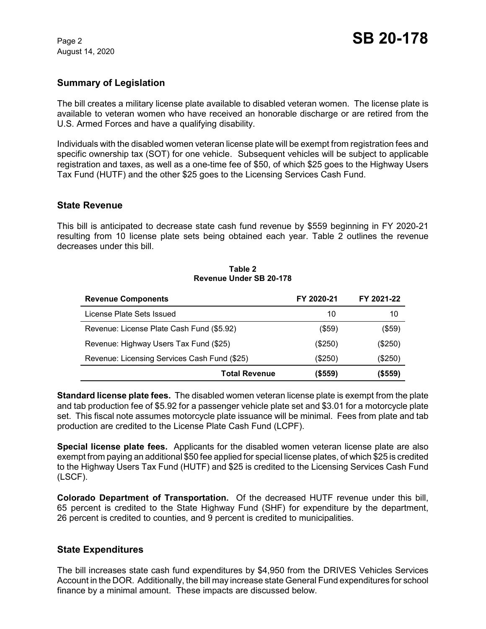August 14, 2020

# **Summary of Legislation**

The bill creates a military license plate available to disabled veteran women. The license plate is available to veteran women who have received an honorable discharge or are retired from the U.S. Armed Forces and have a qualifying disability.

Individuals with the disabled women veteran license plate will be exempt from registration fees and specific ownership tax (SOT) for one vehicle. Subsequent vehicles will be subject to applicable registration and taxes, as well as a one-time fee of \$50, of which \$25 goes to the Highway Users Tax Fund (HUTF) and the other \$25 goes to the Licensing Services Cash Fund.

#### **State Revenue**

This bill is anticipated to decrease state cash fund revenue by \$559 beginning in FY 2020-21 resulting from 10 license plate sets being obtained each year. Table 2 outlines the revenue decreases under this bill.

#### **Table 2 Revenue Under SB 20-178**

| <b>Revenue Components</b>                    | FY 2020-21 | FY 2021-22 |
|----------------------------------------------|------------|------------|
| License Plate Sets Issued                    | 10         | 10         |
| Revenue: License Plate Cash Fund (\$5.92)    | $($ \$59)  | (\$59)     |
| Revenue: Highway Users Tax Fund (\$25)       | $(\$250)$  | (\$250)    |
| Revenue: Licensing Services Cash Fund (\$25) | (\$250)    | (\$250)    |
| <b>Total Revenue</b>                         | (\$559)    | (\$559)    |

**Standard license plate fees.** The disabled women veteran license plate is exempt from the plate and tab production fee of \$5.92 for a passenger vehicle plate set and \$3.01 for a motorcycle plate set. This fiscal note assumes motorcycle plate issuance will be minimal. Fees from plate and tab production are credited to the License Plate Cash Fund (LCPF).

**Special license plate fees.** Applicants for the disabled women veteran license plate are also exempt from paying an additional \$50 fee applied for special license plates, of which \$25 is credited to the Highway Users Tax Fund (HUTF) and \$25 is credited to the Licensing Services Cash Fund (LSCF).

**Colorado Department of Transportation.** Of the decreased HUTF revenue under this bill, 65 percent is credited to the State Highway Fund (SHF) for expenditure by the department, 26 percent is credited to counties, and 9 percent is credited to municipalities.

## **State Expenditures**

The bill increases state cash fund expenditures by \$4,950 from the DRIVES Vehicles Services Account in the DOR. Additionally, the bill may increase state General Fund expenditures for school finance by a minimal amount. These impacts are discussed below.